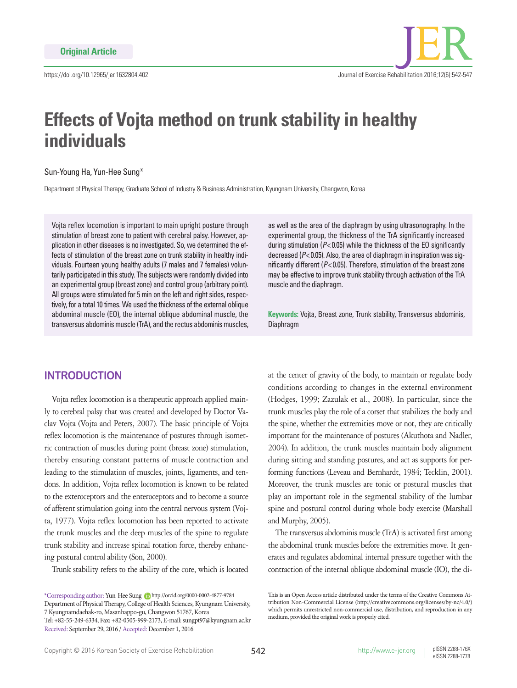# **Effects of Vojta method on trunk stability in healthy individuals**

#### Sun-Young Ha, Yun-Hee Sung\*

Department of Physical Therapy, Graduate School of Industry & Business Administration, Kyungnam University, Changwon, Korea

Vojta reflex locomotion is important to main upright posture through stimulation of breast zone to patient with cerebral palsy. However, application in other diseases is no investigated. So, we determined the effects of stimulation of the breast zone on trunk stability in healthy individuals. Fourteen young healthy adults (7 males and 7 females) voluntarily participated in this study. The subjects were randomly divided into an experimental group (breast zone) and control group (arbitrary point). All groups were stimulated for 5 min on the left and right sides, respectively, for a total 10 times. We used the thickness of the external oblique abdominal muscle (EO), the internal oblique abdominal muscle, the transversus abdominis muscle (TrA), and the rectus abdominis muscles,

# **INTRODUCTION**

Vojta reflex locomotion is a therapeutic approach applied mainly to cerebral palsy that was created and developed by Doctor Vaclav Vojta (Vojta and Peters, 2007). The basic principle of Vojta reflex locomotion is the maintenance of postures through isometric contraction of muscles during point (breast zone) stimulation, thereby ensuring constant patterns of muscle contraction and leading to the stimulation of muscles, joints, ligaments, and tendons. In addition, Vojta reflex locomotion is known to be related to the exteroceptors and the enteroceptors and to become a source of afferent stimulation going into the central nervous system (Vojta, 1977). Vojta reflex locomotion has been reported to activate the trunk muscles and the deep muscles of the spine to regulate trunk stability and increase spinal rotation force, thereby enhancing postural control ability (Son, 2000).

Trunk stability refers to the ability of the core, which is located

Received: September 29, 2016 / Accepted: December 1, 2016

as well as the area of the diaphragm by using ultrasonography. In the experimental group, the thickness of the TrA significantly increased during stimulation (*P*< 0.05) while the thickness of the EO significantly decreased (*P*< 0.05). Also, the area of diaphragm in inspiration was significantly different (*P*< 0.05). Therefore, stimulation of the breast zone may be effective to improve trunk stability through activation of the TrA muscle and the diaphragm.

**Keywords:** Vojta, Breast zone, Trunk stability, Transversus abdominis, Diaphragm

at the center of gravity of the body, to maintain or regulate body conditions according to changes in the external environment (Hodges, 1999; Zazulak et al., 2008). In particular, since the trunk muscles play the role of a corset that stabilizes the body and the spine, whether the extremities move or not, they are critically important for the maintenance of postures (Akuthota and Nadler, 2004). In addition, the trunk muscles maintain body alignment during sitting and standing postures, and act as supports for performing functions (Leveau and Bernhardt, 1984; Tecklin, 2001). Moreover, the trunk muscles are tonic or postural muscles that play an important role in the segmental stability of the lumbar spine and postural control during whole body exercise (Marshall and Murphy, 2005).

The transversus abdominis muscle (TrA) is activated first among the abdominal trunk muscles before the extremities move. It generates and regulates abdominal internal pressure together with the contraction of the internal oblique abdominal muscle (IO), the di-

<sup>\*</sup>Corresponding author: Yun-Hee Sung to http://orcid.org/0000-0002-4877-9784 Department of Physical Therapy, College of Health Sciences, Kyungnam University, 7 Kyungnamdaehak-ro, Masanhappo-gu, Changwon 51767, Korea Tel: +82-55-249-6334, Fax: +82-0505-999-2173, E-mail: sungpt97@kyungnam.ac.kr

This is an Open Access article distributed under the terms of the Creative Commons Attribution Non-Commercial License (http://creativecommons.org/licenses/by-nc/4.0/) which permits unrestricted non-commercial use, distribution, and reproduction in any medium, provided the original work is properly cited.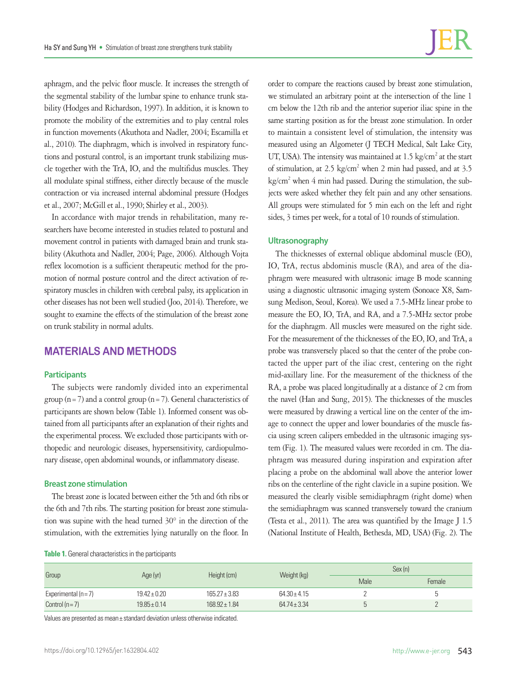aphragm, and the pelvic floor muscle. It increases the strength of the segmental stability of the lumbar spine to enhance trunk stability (Hodges and Richardson, 1997). In addition, it is known to promote the mobility of the extremities and to play central roles in function movements (Akuthota and Nadler, 2004; Escamilla et al., 2010). The diaphragm, which is involved in respiratory functions and postural control, is an important trunk stabilizing muscle together with the TrA, IO, and the multifidus muscles. They all modulate spinal stiffness, either directly because of the muscle contraction or via increased internal abdominal pressure (Hodges et al., 2007; McGill et al., 1990; Shirley et al., 2003).

In accordance with major trends in rehabilitation, many researchers have become interested in studies related to postural and movement control in patients with damaged brain and trunk stability (Akuthota and Nadler, 2004; Page, 2006). Although Vojta reflex locomotion is a sufficient therapeutic method for the promotion of normal posture control and the direct activation of respiratory muscles in children with cerebral palsy, its application in other diseases has not been well studied (Joo, 2014). Therefore, we sought to examine the effects of the stimulation of the breast zone on trunk stability in normal adults.

# **MATERIALS AND METHODS**

## **Participants**

The subjects were randomly divided into an experimental group ( $n=7$ ) and a control group ( $n=7$ ). General characteristics of participants are shown below (Table 1). Informed consent was obtained from all participants after an explanation of their rights and the experimental process. We excluded those participants with orthopedic and neurologic diseases, hypersensitivity, cardiopulmonary disease, open abdominal wounds, or inflammatory disease.

#### **Breast zone stimulation**

The breast zone is located between either the 5th and 6th ribs or the 6th and 7th ribs. The starting position for breast zone stimulation was supine with the head turned 30° in the direction of the stimulation, with the extremities lying naturally on the floor. In

order to compare the reactions caused by breast zone stimulation, we stimulated an arbitrary point at the intersection of the line 1 cm below the 12th rib and the anterior superior iliac spine in the same starting position as for the breast zone stimulation. In order to maintain a consistent level of stimulation, the intensity was measured using an Algometer (J TECH Medical, Salt Lake City, UT, USA). The intensity was maintained at  $1.5 \text{ kg/cm}^2$  at the start of stimulation, at 2.5 kg/cm<sup>2</sup> when 2 min had passed, and at 3.5 kg/cm<sup>2</sup> when 4 min had passed. During the stimulation, the subjects were asked whether they felt pain and any other sensations. All groups were stimulated for 5 min each on the left and right sides, 3 times per week, for a total of 10 rounds of stimulation.

### **Ultrasonography**

The thicknesses of external oblique abdominal muscle (EO), IO, TrA, rectus abdominis muscle (RA), and area of the diaphragm were measured with ultrasonic image B mode scanning using a diagnostic ultrasonic imaging system (Sonoace X8, Samsung Medison, Seoul, Korea). We used a 7.5-MHz linear probe to measure the EO, IO, TrA, and RA, and a 7.5-MHz sector probe for the diaphragm. All muscles were measured on the right side. For the measurement of the thicknesses of the EO, IO, and TrA, a probe was transversely placed so that the center of the probe contacted the upper part of the iliac crest, centering on the right mid-axillary line. For the measurement of the thickness of the RA, a probe was placed longitudinally at a distance of 2 cm from the navel (Han and Sung, 2015). The thicknesses of the muscles were measured by drawing a vertical line on the center of the image to connect the upper and lower boundaries of the muscle fascia using screen calipers embedded in the ultrasonic imaging system (Fig. 1). The measured values were recorded in cm. The diaphragm was measured during inspiration and expiration after placing a probe on the abdominal wall above the anterior lower ribs on the centerline of the right clavicle in a supine position. We measured the clearly visible semidiaphragm (right dome) when the semidiaphragm was scanned transversely toward the cranium (Testa et al., 2011). The area was quantified by the Image J 1.5 (National Institute of Health, Bethesda, MD, USA) (Fig. 2). The

| Table 1. General characteristics in the participants |  |
|------------------------------------------------------|--|
|------------------------------------------------------|--|

| Group                |                  | Height (cm)       |                  | Sex (n) |        |
|----------------------|------------------|-------------------|------------------|---------|--------|
|                      | Age (yr)         |                   | Weight (kg)      | Male    | Female |
| Experimental $(n=7)$ | $19.42 \pm 0.20$ | $165.27 \pm 3.83$ | $64.30 \pm 4.15$ |         | ັ      |
| Control ( $n=7$ )    | $19.85 \pm 0.14$ | $168.92 \pm 1.84$ | $64.74 \pm 3.34$ | h<br>U  |        |

Values are presented as mean± standard deviation unless otherwise indicated.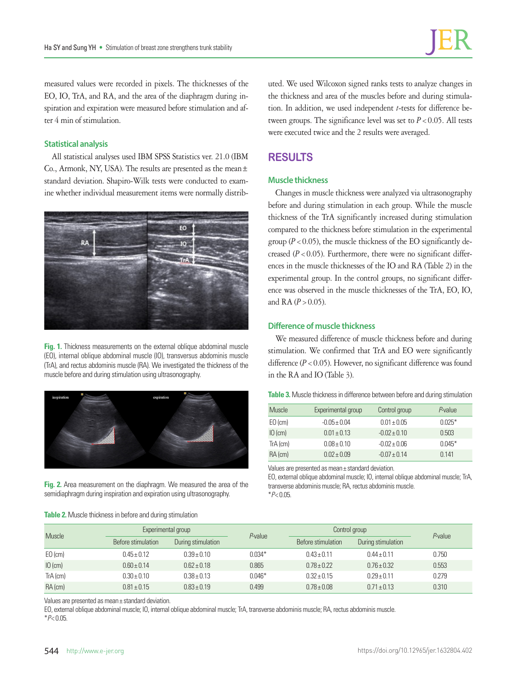measured values were recorded in pixels. The thicknesses of the EO, IO, TrA, and RA, and the area of the diaphragm during inspiration and expiration were measured before stimulation and after 4 min of stimulation.

## **Statistical analysis**

All statistical analyses used IBM SPSS Statistics ver. 21.0 (IBM Co., Armonk, NY, USA). The results are presented as the mean± standard deviation. Shapiro-Wilk tests were conducted to examine whether individual measurement items were normally distrib-



**Fig. 1.** Thickness measurements on the external oblique abdominal muscle (EO), internal oblique abdominal muscle (IO), transversus abdominis muscle (TrA), and rectus abdominis muscle (RA). We investigated the thickness of the muscle before and during stimulation using ultrasonography.



**Fig. 2.** Area measurement on the diaphragm. We measured the area of the semidiaphragm during inspiration and expiration using ultrasonography.

**Table 2.** Muscle thickness in before and during stimulation

uted. We used Wilcoxon signed ranks tests to analyze changes in the thickness and area of the muscles before and during stimulation. In addition, we used independent *t*-tests for difference between groups. The significance level was set to  $P < 0.05$ . All tests were executed twice and the 2 results were averaged.

# **RESULTS**

### **Muscle thickness**

Changes in muscle thickness were analyzed via ultrasonography before and during stimulation in each group. While the muscle thickness of the TrA significantly increased during stimulation compared to the thickness before stimulation in the experimental group ( $P < 0.05$ ), the muscle thickness of the EO significantly decreased  $(P < 0.05)$ . Furthermore, there were no significant differences in the muscle thicknesses of the IO and RA (Table 2) in the experimental group. In the control groups, no significant difference was observed in the muscle thicknesses of the TrA, EO, IO, and RA  $(P > 0.05)$ .

#### **Difference of muscle thickness**

We measured difference of muscle thickness before and during stimulation. We confirmed that TrA and EO were significantly difference  $(P < 0.05)$ . However, no significant difference was found in the RA and IO (Table 3).

| Table 3. Muscle thickness in difference between before and during stimulation |  |  |  |  |  |  |  |
|-------------------------------------------------------------------------------|--|--|--|--|--|--|--|
|-------------------------------------------------------------------------------|--|--|--|--|--|--|--|

| Muscle     | Experimental group | Control group   | P-value  |
|------------|--------------------|-----------------|----------|
| $EO$ (cm)  | $-0.05 \pm 0.04$   | $0.01 \pm 0.05$ | $0.025*$ |
| $IO$ (cm)  | $0.01 \pm 0.13$    | $-0.02 + 0.10$  | 0.503    |
| $TrA$ (cm) | $0.08 \pm 0.10$    | $-0.02 + 0.06$  | $0.045*$ |
| $RA$ (cm)  | $0.02 \pm 0.09$    | $-0.07 + 0.14$  | 0.141    |

Values are presented as mean± standard deviation.

EO, external oblique abdominal muscle; IO, internal oblique abdominal muscle; TrA, transverse abdominis muscle; RA, rectus abdominis muscle. \**P*< 0.05.

| Muscle     | Experimental group |                    | P-value  | Control group      |                    | P-value |
|------------|--------------------|--------------------|----------|--------------------|--------------------|---------|
|            | Before stimulation | During stimulation |          | Before stimulation | During stimulation |         |
| $E0$ (cm)  | $0.45 \pm 0.12$    | $0.39 \pm 0.10$    | $0.034*$ | $0.43 \pm 0.11$    | $0.44 \pm 0.11$    | 0.750   |
| $IO$ (cm)  | $0.60 \pm 0.14$    | $0.62 \pm 0.18$    | 0.865    | $0.78 \pm 0.22$    | $0.76 \pm 0.32$    | 0.553   |
| $TrA$ (cm) | $0.30 \pm 0.10$    | $0.38 \pm 0.13$    | $0.046*$ | $0.32 \pm 0.15$    | $0.29 + 0.11$      | 0.279   |
| $RA$ (cm)  | $0.81 \pm 0.15$    | $0.83 \pm 0.19$    | 0.499    | $0.78 \pm 0.08$    | $0.71 \pm 0.13$    | 0.310   |

Values are presented as mean± standard deviation.

EO, external oblique abdominal muscle; IO, internal oblique abdominal muscle; TrA, transverse abdominis muscle; RA, rectus abdominis muscle. \**P*< 0.05.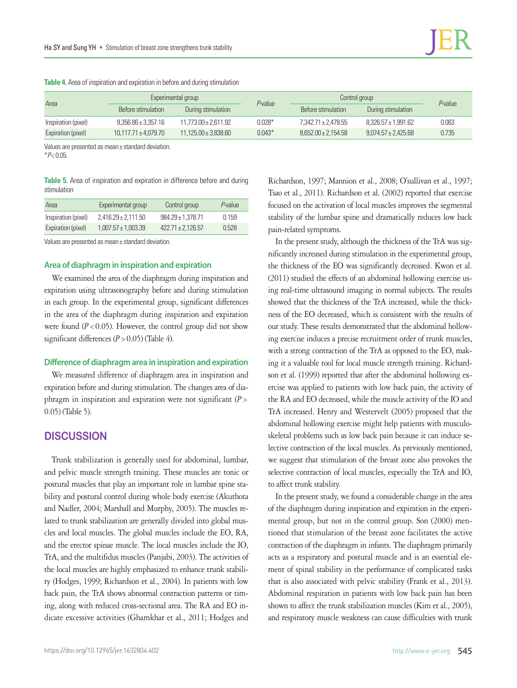| Area                | Experimental group       |                          |          | Control group           |                         | $P$ -value |
|---------------------|--------------------------|--------------------------|----------|-------------------------|-------------------------|------------|
|                     | Before stimulation       | During stimulation       | P-value  | Before stimulation      | During stimulation      |            |
| Inspiration (pixel) | $9.356.86 \pm 3.357.16$  | $11.773.00 \pm 2.611.92$ | $0.028*$ | 7,342.71 ± 2,478.55     | $8.326.57 \pm 1.991.62$ | 0.063      |
| Expiration (pixel)  | $10.117.71 \pm 4.079.70$ | $11,125.00 \pm 3,838.60$ | $0.043*$ | $8.652.00 \pm 2.154.58$ | $9.074.57 \pm 2.425.68$ | 0.735      |

**Table 4.** Area of inspiration and expiration in before and during stimulation

Values are presented as mean± standard deviation.

\**P*< 0.05.

**Table 5.** Area of inspiration and expiration in difference before and during stimulation

| Area                | Experimental group      | Control group         | P-value |
|---------------------|-------------------------|-----------------------|---------|
| Inspiration (pixel) | $2.416.29 \pm 2.111.50$ | $984.29 \pm 1.378.71$ | 0.159   |
| Expiration (pixel)  | $1,007.57 \pm 1,003.39$ | $422.71 \pm 2.126.57$ | 0.528   |

Values are presented as mean± standard deviation.

#### **Area of diaphragm in inspiration and expiration**

We examined the area of the diaphragm during inspiration and expiration using ultrasonography before and during stimulation in each group. In the experimental group, significant differences in the area of the diaphragm during inspiration and expiration were found  $(P < 0.05)$ . However, the control group did not show significant differences  $(P > 0.05)$  (Table 4).

## **Difference of diaphragm area in inspiration and expiration**

We measured difference of diaphragm area in inspiration and expiration before and during stimulation. The changes area of diaphragm in inspiration and expiration were not significant (*P*> 0.05) (Table 5).

## **DISCUSSION**

Trunk stabilization is generally used for abdominal, lumbar, and pelvic muscle strength training. These muscles are tonic or postural muscles that play an important role in lumbar spine stability and postural control during whole body exercise (Akuthota and Nadler, 2004; Marshall and Murphy, 2005). The muscles related to trunk stabilization are generally divided into global muscles and local muscles. The global muscles include the EO, RA, and the erector spinae muscle. The local muscles include the IO, TrA, and the multifidus muscles (Panjabi, 2003). The activities of the local muscles are highly emphasized to enhance trunk stability (Hodges, 1999; Richardson et al., 2004). In patients with low back pain, the TrA shows abnormal contraction patterns or timing, along with reduced cross-sectional area. The RA and EO indicate excessive activities (Ghamkhar et al., 2011; Hodges and

Richardson, 1997; Mannion et al., 2008; O'sullivan et al., 1997; Tsao et al., 2011). Richardson et al. (2002) reported that exercise focused on the activation of local muscles improves the segmental stability of the lumbar spine and dramatically reduces low back pain-related symptoms.

In the present study, although the thickness of the TrA was significantly increased during stimulation in the experimental group, the thickness of the EO was significantly decreased. Kwon et al. (2011) studied the effects of an abdominal hollowing exercise using real-time ultrasound imaging in normal subjects. The results showed that the thickness of the TrA increased, while the thickness of the EO decreased, which is consistent with the results of our study. These results demonstrated that the abdominal hollowing exercise induces a precise recruitment order of trunk muscles, with a strong contraction of the TrA as opposed to the EO, making it a valuable tool for local muscle strength training. Richardson et al. (1999) reported that after the abdominal hollowing exercise was applied to patients with low back pain, the activity of the RA and EO decreased, while the muscle activity of the IO and TrA increased. Henry and Westervelt (2005) proposed that the abdominal hollowing exercise might help patients with musculoskeletal problems such as low back pain because it can induce selective contraction of the local muscles. As previously mentioned, we suggest that stimulation of the breast zone also provokes the selective contraction of local muscles, especially the TrA and IO, to affect trunk stability.

In the present study, we found a considerable change in the area of the diaphragm during inspiration and expiration in the experimental group, but not in the control group. Son (2000) mentioned that stimulation of the breast zone facilitates the active contraction of the diaphragm in infants. The diaphragm primarily acts as a respiratory and postural muscle and is an essential element of spinal stability in the performance of complicated tasks that is also associated with pelvic stability (Frank et al., 2013). Abdominal respiration in patients with low back pain has been shown to affect the trunk stabilization muscles (Kim et al., 2005), and respiratory muscle weakness can cause difficulties with trunk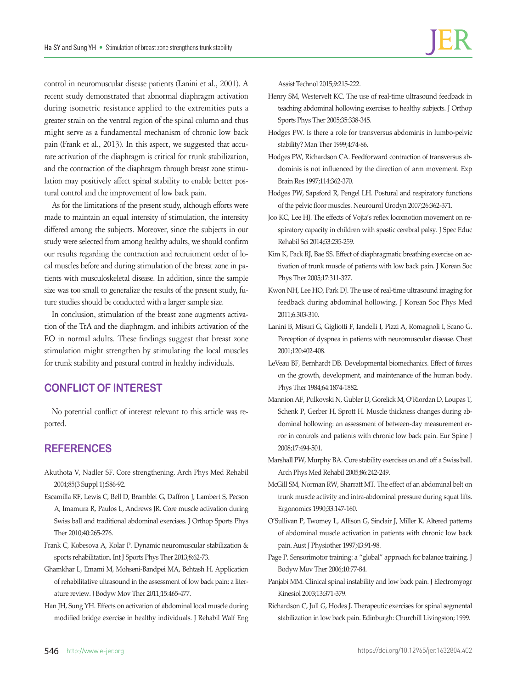control in neuromuscular disease patients (Lanini et al., 2001). A recent study demonstrated that abnormal diaphragm activation during isometric resistance applied to the extremities puts a greater strain on the ventral region of the spinal column and thus might serve as a fundamental mechanism of chronic low back pain (Frank et al., 2013). In this aspect, we suggested that accurate activation of the diaphragm is critical for trunk stabilization, and the contraction of the diaphragm through breast zone stimulation may positively affect spinal stability to enable better postural control and the improvement of low back pain.

As for the limitations of the present study, although efforts were made to maintain an equal intensity of stimulation, the intensity differed among the subjects. Moreover, since the subjects in our study were selected from among healthy adults, we should confirm our results regarding the contraction and recruitment order of local muscles before and during stimulation of the breast zone in patients with musculoskeletal disease. In addition, since the sample size was too small to generalize the results of the present study, future studies should be conducted with a larger sample size.

In conclusion, stimulation of the breast zone augments activation of the TrA and the diaphragm, and inhibits activation of the EO in normal adults. These findings suggest that breast zone stimulation might strengthen by stimulating the local muscles for trunk stability and postural control in healthy individuals.

## **CONFLICT OF INTEREST**

No potential conflict of interest relevant to this article was reported.

# **REFERENCES**

- Akuthota V, Nadler SF. Core strengthening. Arch Phys Med Rehabil 2004;85(3 Suppl 1):S86-92.
- Escamilla RF, Lewis C, Bell D, Bramblet G, Daffron J, Lambert S, Pecson A, Imamura R, Paulos L, Andrews JR. Core muscle activation during Swiss ball and traditional abdominal exercises. J Orthop Sports Phys Ther 2010;40:265-276.
- Frank C, Kobesova A, Kolar P. Dynamic neuromuscular stabilization & sports rehabilitation. Int J Sports Phys Ther 2013;8:62-73.
- Ghamkhar L, Emami M, Mohseni-Bandpei MA, Behtash H. Application of rehabilitative ultrasound in the assessment of low back pain: a literature review. J Bodyw Mov Ther 2011;15:465-477.
- Han JH, Sung YH. Effects on activation of abdominal local muscle during modified bridge exercise in healthy individuals. J Rehabil Walf Eng

Assist Technol 2015;9:215-222.

Henry SM, Westervelt KC. The use of real-time ultrasound feedback in teaching abdominal hollowing exercises to healthy subjects. J Orthop Sports Phys Ther 2005;35:338-345.

- Hodges PW. Is there a role for transversus abdominis in lumbo-pelvic stability? Man Ther 1999;4:74-86.
- Hodges PW, Richardson CA. Feedforward contraction of transversus abdominis is not influenced by the direction of arm movement. Exp Brain Res 1997;114:362-370.
- Hodges PW, Sapsford R, Pengel LH. Postural and respiratory functions of the pelvic floor muscles. Neurourol Urodyn 2007;26:362-371.
- Joo KC, Lee HJ. The effects of Vojta's reflex locomotion movement on respiratory capacity in children with spastic cerebral palsy. J Spec Educ Rehabil Sci 2014;53:235-259.
- Kim K, Pack RJ, Bae SS. Effect of diaphragmatic breathing exercise on activation of trunk muscle of patients with low back pain. J Korean Soc Phys Ther 2005;17:311-327.
- Kwon NH, Lee HO, Park DJ. The use of real-time ultrasound imaging for feedback during abdominal hollowing. J Korean Soc Phys Med 2011;6:303-310.
- Lanini B, Misuri G, Gigliotti F, Iandelli I, Pizzi A, Romagnoli I, Scano G. Perception of dyspnea in patients with neuromuscular disease. Chest 2001;120:402-408.
- LeVeau BF, Bernhardt DB. Developmental biomechanics. Effect of forces on the growth, development, and maintenance of the human body. Phys Ther 1984;64:1874-1882.
- Mannion AF, Pulkovski N, Gubler D, Gorelick M, O'Riordan D, Loupas T, Schenk P, Gerber H, Sprott H. Muscle thickness changes during abdominal hollowing: an assessment of between-day measurement error in controls and patients with chronic low back pain. Eur Spine J 2008;17:494-501.
- Marshall PW, Murphy BA. Core stability exercises on and off a Swiss ball. Arch Phys Med Rehabil 2005;86:242-249.
- McGill SM, Norman RW, Sharratt MT. The effect of an abdominal belt on trunk muscle activity and intra-abdominal pressure during squat lifts. Ergonomics 1990;33:147-160.
- O'Sullivan P, Twomey L, Allison G, Sinclair J, Miller K. Altered patterns of abdominal muscle activation in patients with chronic low back pain. Aust J Physiother 1997;43:91-98.
- Page P. Sensorimotor training: a "global" approach for balance training. J Bodyw Mov Ther 2006;10:77-84.
- Panjabi MM. Clinical spinal instability and low back pain. J Electromyogr Kinesiol 2003;13:371-379.
- Richardson C, Jull G, Hodes J. Therapeutic exercises for spinal segmental stabilization in low back pain. Edinburgh: Churchill Livingston; 1999.